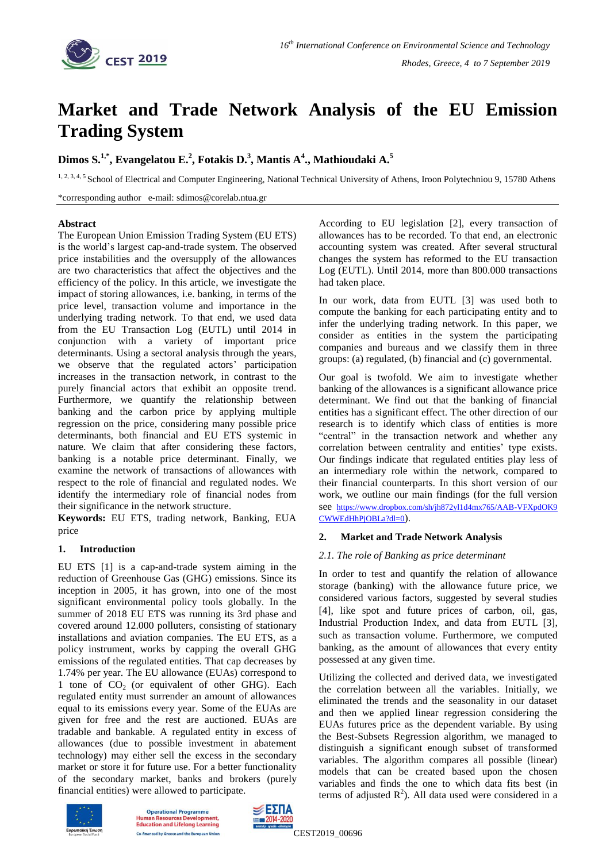

# **Market and Trade Network Analysis of the EU Emission Trading System**

## **Dimos S.1,\*, Evangelatou E.<sup>2</sup> , Fotakis D.<sup>3</sup> , Mantis A<sup>4</sup> ., Mathioudaki A.<sup>5</sup>**

1, 2, 3, 4, 5 School of Electrical and Computer Engineering, National Technical University of Athens, Iroon Polytechniou 9, 15780 Athens

\*corresponding author e-mail: sdimos@corelab.ntua.gr

## **Abstract**

The European Union Emission Trading System (EU ETS) is the world's largest cap-and-trade system. The observed price instabilities and the oversupply of the allowances are two characteristics that affect the objectives and the efficiency of the policy. In this article, we investigate the impact of storing allowances, i.e. banking, in terms of the price level, transaction volume and importance in the underlying trading network. To that end, we used data from the EU Transaction Log (EUTL) until 2014 in conjunction with a variety of important price determinants. Using a sectoral analysis through the years, we observe that the regulated actors' participation increases in the transaction network, in contrast to the purely financial actors that exhibit an opposite trend. Furthermore, we quantify the relationship between banking and the carbon price by applying multiple regression on the price, considering many possible price determinants, both financial and EU ETS systemic in nature. We claim that after considering these factors, banking is a notable price determinant. Finally, we examine the network of transactions of allowances with respect to the role of financial and regulated nodes. We identify the intermediary role of financial nodes from their significance in the network structure.

**Keywords:** EU ETS, trading network, Banking, EUA price

## **1. Introduction**

EU ETS [1] is a cap-and-trade system aiming in the reduction of Greenhouse Gas (GHG) emissions. Since its inception in 2005, it has grown, into one of the most significant environmental policy tools globally. In the summer of 2018 EU ETS was running its 3rd phase and covered around 12.000 polluters, consisting of stationary installations and aviation companies. The EU ETS, as a policy instrument, works by capping the overall GHG emissions of the regulated entities. That cap decreases by 1.74% per year. The EU allowance (EUAs) correspond to 1 tone of  $CO<sub>2</sub>$  (or equivalent of other GHG). Each regulated entity must surrender an amount of allowances equal to its emissions every year. Some of the EUAs are given for free and the rest are auctioned. EUAs are tradable and bankable. A regulated entity in excess of allowances (due to possible investment in abatement technology) may either sell the excess in the secondary market or store it for future use. For a better functionality of the secondary market, banks and brokers (purely financial entities) were allowed to participate.

According to EU legislation [2], every transaction of allowances has to be recorded. To that end, an electronic accounting system was created. After several structural changes the system has reformed to the EU transaction Log (EUTL). Until 2014, more than 800.000 transactions had taken place.

In our work, data from EUTL [3] was used both to compute the banking for each participating entity and to infer the underlying trading network. In this paper, we consider as entities in the system the participating companies and bureaus and we classify them in three groups: (a) regulated, (b) financial and (c) governmental.

Our goal is twofold. We aim to investigate whether banking of the allowances is a significant allowance price determinant. We find out that the banking of financial entities has a significant effect. The other direction of our research is to identify which class of entities is more "central" in the transaction network and whether any correlation between centrality and entities' type exists. Our findings indicate that regulated entities play less of an intermediary role within the network, compared to their financial counterparts. In this short version of our work, we outline our main findings (for the full version see [https://www.dropbox.com/sh/jh872yl1d4mx765/AAB-VFXpdOK9](https://www.dropbox.com/sh/jh872yl1d4mx765/AAB-VFXpdOK9CWWEdHhPjOBLa?dl=0) [CWWEdHhPjOBLa?dl=0](https://www.dropbox.com/sh/jh872yl1d4mx765/AAB-VFXpdOK9CWWEdHhPjOBLa?dl=0)).

## **2. Market and Trade Network Analysis**

## *2.1. The role of Banking as price determinant*

In order to test and quantify the relation of allowance storage (banking) with the allowance future price, we considered various factors, suggested by several studies [4], like spot and future prices of carbon, oil, gas, Industrial Production Index, and data from EUTL [3], such as transaction volume. Furthermore, we computed banking, as the amount of allowances that every entity possessed at any given time.

Utilizing the collected and derived data, we investigated the correlation between all the variables. Initially, we eliminated the trends and the seasonality in our dataset and then we applied linear regression considering the EUAs futures price as the dependent variable. By using the Best-Subsets Regression algorithm, we managed to distinguish a significant enough subset of transformed variables. The algorithm compares all possible (linear) models that can be created based upon the chosen variables and finds the one to which data fits best (in terms of adjusted  $R^2$ ). All data used were considered in a



**Operational Programme Resour Education and Lifelong Learning** anced by Greece and the European Union